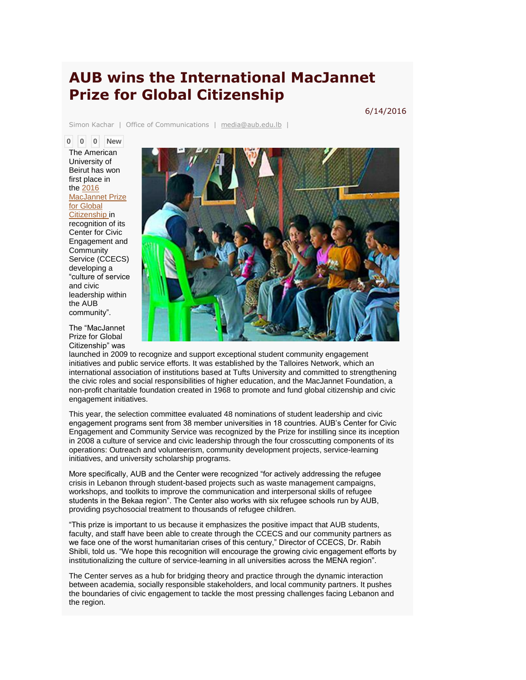## **AUB wins the International MacJannet Prize for Global Citizenship**

Simon Kachar | Office of Communications | [media@aub.edu.lb](mailto:media@aub.edu.lb) |

**0 0 0 New** The American University of Beirut has won first place in the [2016](http://talloiresnetwork.tufts.edu/)  [MacJannet Prize](http://talloiresnetwork.tufts.edu/)  [for Global](http://talloiresnetwork.tufts.edu/) 

[Citizenship](http://talloiresnetwork.tufts.edu/) in recognition of its Center for Civic Engagement and **Community** Service (CCECS) developing a "culture of service and civic leadership within the AUB community".

The "MacJannet

engagement initiatives.



6/14/2016

Prize for Global Citizenship" was launched in 2009 to recognize and support exceptional student community engagement initiatives and public service efforts. It was established by the Talloires Network, which an international association of institutions based at Tufts University and committed to strengthening the civic roles and social responsibilities of higher education, and the MacJannet Foundation, a non-profit charitable foundation created in 1968 to promote and fund global citizenship and civic

This year, the selection committee evaluated 48 nominations of student leadership and civic engagement programs sent from 38 member universities in 18 countries. AUB's Center for Civic Engagement and Community Service was recognized by the Prize for instilling since its inception in 2008 a culture of service and civic leadership through the four crosscutting components of its operations: Outreach and volunteerism, community development projects, service-learning initiatives, and university scholarship programs.

More specifically, AUB and the Center were recognized "for actively addressing the refugee crisis in Lebanon through student-based projects such as waste management campaigns, workshops, and toolkits to improve the communication and interpersonal skills of refugee students in the Bekaa region". The Center also works with six refugee schools run by AUB, providing psychosocial treatment to thousands of refugee children.

"This prize is important to us because it emphasizes the positive impact that AUB students, faculty, and staff have been able to create through the CCECS and our community partners as we face one of the worst humanitarian crises of this century," Director of CCECS, Dr. Rabih Shibli, told us. "We hope this recognition will encourage the growing civic engagement efforts by institutionalizing the culture of service-learning in all universities across the MENA region".

The Center serves as a hub for bridging theory and practice through the dynamic interaction between academia, socially responsible stakeholders, and local community partners. It pushes the boundaries of civic engagement to tackle the most pressing challenges facing Lebanon and the region.